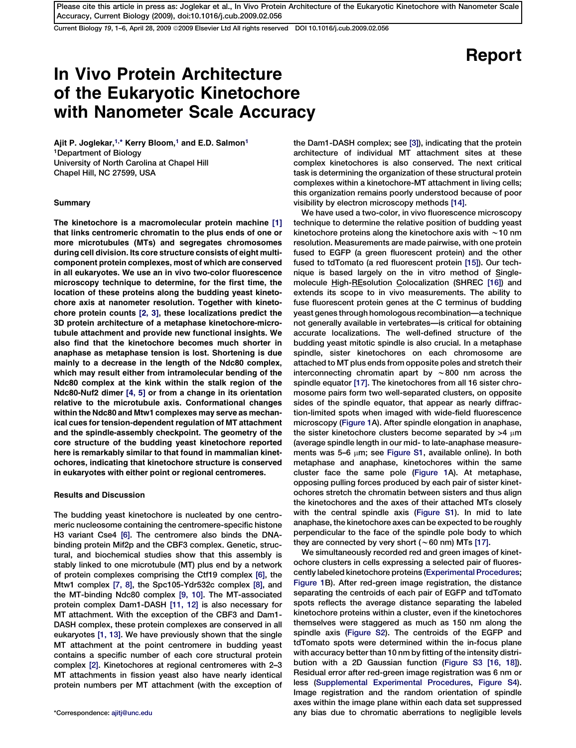Current Biology 19, 1-6, April 28, 2009 ©2009 Elsevier Ltd All rights reserved DOI 10.1016/j.cub.2009.02.056

# Report

## In Vivo Protein Architecture of the Eukaryotic Kinetochore with Nanometer Scale Accuracy

Ajit P. Joglekar,<sup>1,\*</sup> Kerry Bloom,<sup>1</sup> and E.D. Salmon<sup>1</sup> 1Department of Biology University of North Carolina at Chapel Hill Chapel Hill, NC 27599, USA

## Summary

The kinetochore is a macromolecular protein machine [\[1\]](#page-4-0) that links centromeric chromatin to the plus ends of one or more microtubules (MTs) and segregates chromosomes during cell division. Its core structure consists of eight multicomponent protein complexes, most of which are conserved in all eukaryotes. We use an in vivo two-color fluorescence microscopy technique to determine, for the first time, the location of these proteins along the budding yeast kinetochore axis at nanometer resolution. Together with kinetochore protein counts [\[2, 3\]](#page-4-0), these localizations predict the 3D protein architecture of a metaphase kinetochore-microtubule attachment and provide new functional insights. We also find that the kinetochore becomes much shorter in anaphase as metaphase tension is lost. Shortening is due mainly to a decrease in the length of the Ndc80 complex, which may result either from intramolecular bending of the Ndc80 complex at the kink within the stalk region of the Ndc80-Nuf2 dimer [\[4, 5\]](#page-5-0) or from a change in its orientation relative to the microtubule axis. Conformational changes within the Ndc80 and Mtw1 complexes may serve as mechanical cues for tension-dependent regulation of MT attachment and the spindle-assembly checkpoint. The geometry of the core structure of the budding yeast kinetochore reported here is remarkably similar to that found in mammalian kinetochores, indicating that kinetochore structure is conserved in eukaryotes with either point or regional centromeres.

## Results and Discussion

The budding yeast kinetochore is nucleated by one centromeric nucleosome containing the centromere-specific histone H3 variant Cse4 [\[6\]](#page-5-0). The centromere also binds the DNAbinding protein Mif2p and the CBF3 complex. Genetic, structural, and biochemical studies show that this assembly is stably linked to one microtubule (MT) plus end by a network of protein complexes comprising the Ctf19 complex [\[6\],](#page-5-0) the Mtw1 complex [\[7, 8\],](#page-5-0) the Spc105-Ydr532c complex [\[8\],](#page-5-0) and the MT-binding Ndc80 complex [\[9, 10\].](#page-5-0) The MT-associated protein complex Dam1-DASH [\[11, 12\]](#page-5-0) is also necessary for MT attachment. With the exception of the CBF3 and Dam1- DASH complex, these protein complexes are conserved in all eukaryotes [\[1, 13\]](#page-4-0). We have previously shown that the single MT attachment at the point centromere in budding yeast contains a specific number of each core structural protein complex [\[2\]](#page-4-0). Kinetochores at regional centromeres with 2–3 MT attachments in fission yeast also have nearly identical protein numbers per MT attachment (with the exception of

the Dam1-DASH complex; see [\[3\]\)](#page-4-0), indicating that the protein architecture of individual MT attachment sites at these complex kinetochores is also conserved. The next critical task is determining the organization of these structural protein complexes within a kinetochore-MT attachment in living cells; this organization remains poorly understood because of poor visibility by electron microscopy methods [\[14\].](#page-5-0)

We have used a two-color, in vivo fluorescence microscopy technique to determine the relative position of budding yeast kinetochore proteins along the kinetochore axis with  $\sim$  10 nm resolution. Measurements are made pairwise, with one protein fused to EGFP (a green fluorescent protein) and the other fused to tdTomato (a red fluorescent protein [\[15\]](#page-5-0)). Our technique is based largely on the in vitro method of Single-molecule High-REsolution Colocalization (SHREC [\[16\]](#page-5-0)) and extends its scope to in vivo measurements. The ability to fuse fluorescent protein genes at the C terminus of budding yeast genes through homologous recombination—a technique not generally available in vertebrates—is critical for obtaining accurate localizations. The well-defined structure of the budding yeast mitotic spindle is also crucial. In a metaphase spindle, sister kinetochores on each chromosome are attached to MT plus ends from opposite poles and stretch their interconnecting chromatin apart by  $\sim$ 800 nm across the spindle equator [\[17\].](#page-5-0) The kinetochores from all 16 sister chromosome pairs form two well-separated clusters, on opposite sides of the spindle equator, that appear as nearly diffraction-limited spots when imaged with wide-field fluorescence microscopy ([Figure 1](#page-1-0)A). After spindle elongation in anaphase, the sister kinetochore clusters become separated by  $>4 \mu m$ (average spindle length in our mid- to late-anaphase measurements was 5–6  $\mu$ m; see [Figure S1](#page-4-0), available online). In both metaphase and anaphase, kinetochores within the same cluster face the same pole [\(Figure 1A](#page-1-0)). At metaphase, opposing pulling forces produced by each pair of sister kinetochores stretch the chromatin between sisters and thus align the kinetochores and the axes of their attached MTs closely with the central spindle axis [\(Figure S1](#page-4-0)). In mid to late anaphase, the kinetochore axes can be expected to be roughly perpendicular to the face of the spindle pole body to which they are connected by very short ( $\sim$  60 nm) MTs [\[17\].](#page-5-0)

We simultaneously recorded red and green images of kinetochore clusters in cells expressing a selected pair of fluorescently labeled kinetochore proteins [\(Experimental Procedures](#page-4-0); [Figure 1](#page-1-0)B). After red-green image registration, the distance separating the centroids of each pair of EGFP and tdTomato spots reflects the average distance separating the labeled kinetochore proteins within a cluster, even if the kinetochores themselves were staggered as much as 150 nm along the spindle axis ([Figure S2\)](#page-4-0). The centroids of the EGFP and tdTomato spots were determined within the in-focus plane with accuracy better than 10 nm by fitting of the intensity distribution with a 2D Gaussian function ([Figure S3](#page-4-0) [\[16, 18\]\)](#page-5-0). Residual error after red-green image registration was 6 nm or less [\(Supplemental Experimental Procedures](#page-4-0), [Figure S4\)](#page-4-0). Image registration and the random orientation of spindle axes within the image plane within each data set suppressed \*Correspondence: [ajitj@unc.edu](mailto:ajitj@unc.edu) any bias due to chromatic aberrations to negligible levels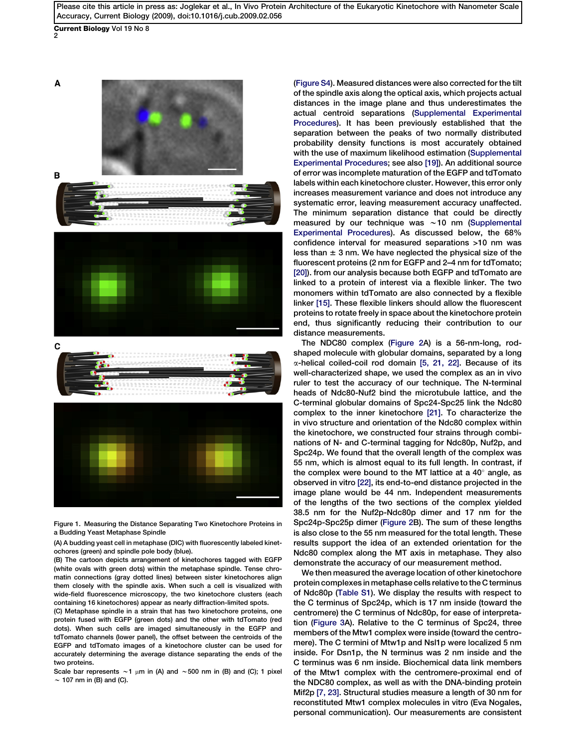<span id="page-1-0"></span>Current Biology Vol 19 No 8

2



Figure 1. Measuring the Distance Separating Two Kinetochore Proteins in a Budding Yeast Metaphase Spindle

(A) A budding yeast cell in metaphase (DIC) with fluorescently labeled kinetochores (green) and spindle pole body (blue).

(B) The cartoon depicts arrangement of kinetochores tagged with EGFP (white ovals with green dots) within the metaphase spindle. Tense chromatin connections (gray dotted lines) between sister kinetochores align them closely with the spindle axis. When such a cell is visualized with wide-field fluorescence microscopy, the two kinetochore clusters (each containing 16 kinetochores) appear as nearly diffraction-limited spots.

(C) Metaphase spindle in a strain that has two kinetochore proteins, one protein fused with EGFP (green dots) and the other with tdTomato (red dots). When such cells are imaged simultaneously in the EGFP and tdTomato channels (lower panel), the offset between the centroids of the EGFP and tdTomato images of a kinetochore cluster can be used for accurately determining the average distance separating the ends of the two proteins.

Scale bar represents  $\sim$ 1 µm in (A) and  $\sim$  500 nm in (B) and (C); 1 pixel  $\sim$  107 nm in (B) and (C).

([Figure S4](#page-4-0)). Measured distances were also corrected for the tilt of the spindle axis along the optical axis, which projects actual distances in the image plane and thus underestimates the actual centroid separations ([Supplemental Experimental](#page-4-0) [Procedures\)](#page-4-0). It has been previously established that the separation between the peaks of two normally distributed probability density functions is most accurately obtained with the use of maximum likelihood estimation ([Supplemental](#page-4-0) [Experimental Procedures](#page-4-0); see also [\[19\]](#page-5-0)). An additional source of error was incomplete maturation of the EGFP and tdTomato labels within each kinetochore cluster. However, this error only increases measurement variance and does not introduce any systematic error, leaving measurement accuracy unaffected. The minimum separation distance that could be directly measured by our technique was  $\sim$  10 nm ([Supplemental](#page-4-0) [Experimental Procedures](#page-4-0)). As discussed below, the 68% confidence interval for measured separations >10 nm was less than  $\pm$  3 nm. We have neglected the physical size of the fluorescent proteins (2 nm for EGFP and 2–4 nm for tdTomato; [\[20\]\)](#page-5-0). from our analysis because both EGFP and tdTomato are linked to a protein of interest via a flexible linker. The two monomers within tdTomato are also connected by a flexible linker [\[15\].](#page-5-0) These flexible linkers should allow the fluorescent proteins to rotate freely in space about the kinetochore protein end, thus significantly reducing their contribution to our distance measurements.

The NDC80 complex [\(Figure 2](#page-2-0)A) is a 56-nm-long, rodshaped molecule with globular domains, separated by a long  $\alpha$ -helical coiled-coil rod domain [\[5, 21, 22\]](#page-5-0). Because of its well-characterized shape, we used the complex as an in vivo ruler to test the accuracy of our technique. The N-terminal heads of Ndc80-Nuf2 bind the microtubule lattice, and the C-terminal globular domains of Spc24-Spc25 link the Ndc80 complex to the inner kinetochore [\[21\].](#page-5-0) To characterize the in vivo structure and orientation of the Ndc80 complex within the kinetochore, we constructed four strains through combinations of N- and C-terminal tagging for Ndc80p, Nuf2p, and Spc24p. We found that the overall length of the complex was 55 nm, which is almost equal to its full length. In contrast, if the complex were bound to the MT lattice at a 40 $^{\circ}$  angle, as observed in vitro [\[22\],](#page-5-0) its end-to-end distance projected in the image plane would be 44 nm. Independent measurements of the lengths of the two sections of the complex yielded 38.5 nm for the Nuf2p-Ndc80p dimer and 17 nm for the Spc24p-Spc25p dimer ([Figure 2B](#page-2-0)). The sum of these lengths is also close to the 55 nm measured for the total length. These results support the idea of an extended orientation for the Ndc80 complex along the MT axis in metaphase. They also demonstrate the accuracy of our measurement method.

We then measured the average location of other kinetochore protein complexes in metaphase cells relative to the C terminus of Ndc80p ([Table S1\)](#page-4-0). We display the results with respect to the C terminus of Spc24p, which is 17 nm inside (toward the centromere) the C terminus of Ndc80p, for ease of interpretation [\(Figure 3](#page-3-0)A). Relative to the C terminus of Spc24, three members of the Mtw1 complex were inside (toward the centromere). The C termini of Mtw1p and Nsl1p were localized 5 nm inside. For Dsn1p, the N terminus was 2 nm inside and the C terminus was 6 nm inside. Biochemical data link members of the Mtw1 complex with the centromere-proximal end of the NDC80 complex, as well as with the DNA-binding protein Mif2p [\[7, 23\]](#page-5-0). Structural studies measure a length of 30 nm for reconstituted Mtw1 complex molecules in vitro (Eva Nogales, personal communication). Our measurements are consistent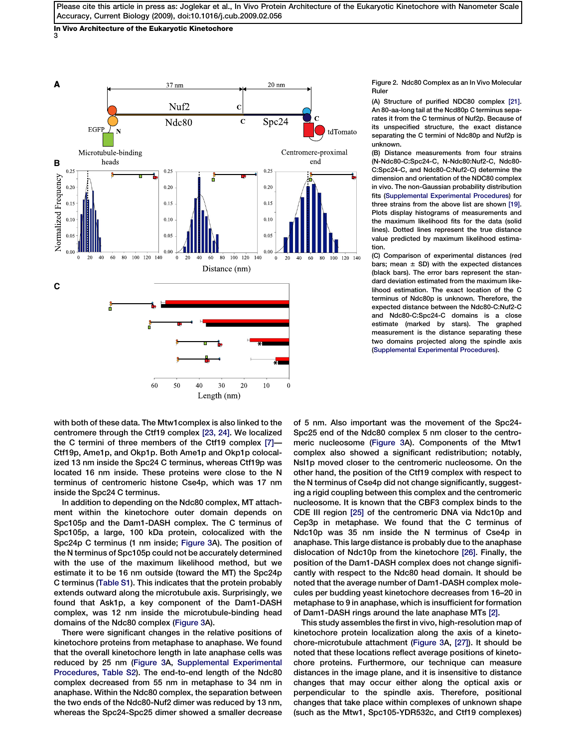<span id="page-2-0"></span>In Vivo Architecture of the Eukaryotic Kinetochore 3



Figure 2. Ndc80 Complex as an In Vivo Molecular Ruler

(A) Structure of purified NDC80 complex [\[21\].](#page-5-0) An 80-aa-long tail at the Ncd80p C terminus separates it from the C terminus of Nuf2p. Because of its unspecified structure, the exact distance separating the C termini of Ndc80p and Nuf2p is unknown.

(B) Distance measurements from four strains (N-Ndc80-C:Spc24-C, N-Ndc80:Nuf2-C, Ndc80- C:Spc24-C, and Ndc80-C:Nuf2-C) determine the dimension and orientation of the NDC80 complex in vivo. The non-Gaussian probability distribution fits ([Supplemental Experimental Procedures](#page-4-0)) for three strains from the above list are shown [\[19\].](#page-5-0) Plots display histograms of measurements and the maximum likelihood fits for the data (solid lines). Dotted lines represent the true distance value predicted by maximum likelihood estimation.

(C) Comparison of experimental distances (red bars; mean  $\pm$  SD) with the expected distances (black bars). The error bars represent the standard deviation estimated from the maximum likelihood estimation. The exact location of the C terminus of Ndc80p is unknown. Therefore, the expected distance between the Ndc80-C:Nuf2-C and Ndc80-C:Spc24-C domains is a close estimate (marked by stars). The graphed measurement is the distance separating these two domains projected along the spindle axis [\(Supplemental Experimental Procedures](#page-4-0)).

with both of these data. The Mtw1complex is also linked to the centromere through the Ctf19 complex [\[23, 24\].](#page-5-0) We localized the C termini of three members of the Ctf19 complex [\[7\]](#page-5-0)— Ctf19p, Ame1p, and Okp1p. Both Ame1p and Okp1p colocalized 13 nm inside the Spc24 C terminus, whereas Ctf19p was located 16 nm inside. These proteins were close to the N terminus of centromeric histone Cse4p, which was 17 nm inside the Spc24 C terminus.

In addition to depending on the Ndc80 complex, MT attachment within the kinetochore outer domain depends on Spc105p and the Dam1-DASH complex. The C terminus of Spc105p, a large, 100 kDa protein, colocalized with the Spc24p C terminus (1 nm inside; [Figure 3](#page-3-0)A). The position of the N terminus of Spc105p could not be accurately determined with the use of the maximum likelihood method, but we estimate it to be 16 nm outside (toward the MT) the Spc24p C terminus [\(Table S1\)](#page-4-0). This indicates that the protein probably extends outward along the microtubule axis. Surprisingly, we found that Ask1p, a key component of the Dam1-DASH complex, was 12 nm inside the microtubule-binding head domains of the Ndc80 complex [\(Figure 3A](#page-3-0)).

There were significant changes in the relative positions of kinetochore proteins from metaphase to anaphase. We found that the overall kinetochore length in late anaphase cells was reduced by 25 nm ([Figure 3A](#page-3-0), [Supplemental Experimental](#page-4-0) [Procedures,](#page-4-0) [Table S2](#page-4-0)). The end-to-end length of the Ndc80 complex decreased from 55 nm in metaphase to 34 nm in anaphase. Within the Ndc80 complex, the separation between the two ends of the Ndc80-Nuf2 dimer was reduced by 13 nm, whereas the Spc24-Spc25 dimer showed a smaller decrease

of 5 nm. Also important was the movement of the Spc24- Spc25 end of the Ndc80 complex 5 nm closer to the centromeric nucleosome [\(Figure 3A](#page-3-0)). Components of the Mtw1 complex also showed a significant redistribution; notably, Nsl1p moved closer to the centromeric nucleosome. On the other hand, the position of the Ctf19 complex with respect to the N terminus of Cse4p did not change significantly, suggesting a rigid coupling between this complex and the centromeric nucleosome. It is known that the CBF3 complex binds to the CDE III region [\[25\]](#page-5-0) of the centromeric DNA via Ndc10p and Cep3p in metaphase. We found that the C terminus of Ndc10p was 35 nm inside the N terminus of Cse4p in anaphase. This large distance is probably due to the anaphase dislocation of Ndc10p from the kinetochore [\[26\]](#page-5-0). Finally, the position of the Dam1-DASH complex does not change significantly with respect to the Ndc80 head domain. It should be noted that the average number of Dam1-DASH complex molecules per budding yeast kinetochore decreases from 16–20 in metaphase to 9 in anaphase, which is insufficient for formation of Dam1-DASH rings around the late anaphase MTs [\[2\].](#page-4-0)

This study assembles the first in vivo, high-resolution map of kinetochore protein localization along the axis of a kinetochore-microtubule attachment ([Figure 3](#page-3-0)A, [\[27\]\)](#page-5-0). It should be noted that these locations reflect average positions of kinetochore proteins. Furthermore, our technique can measure distances in the image plane, and it is insensitive to distance changes that may occur either along the optical axis or perpendicular to the spindle axis. Therefore, positional changes that take place within complexes of unknown shape (such as the Mtw1, Spc105-YDR532c, and Ctf19 complexes)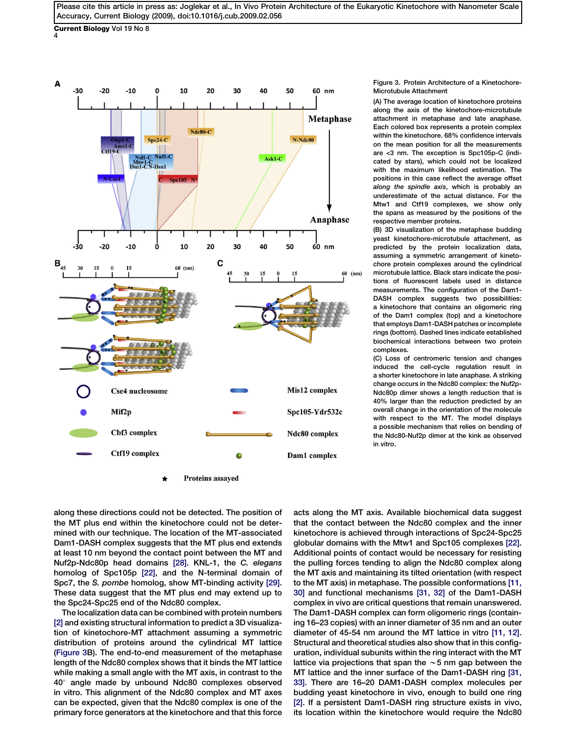<span id="page-3-0"></span>Current Biology Vol 19 No 8 4



Figure 3. Protein Architecture of a Kinetochore-Microtubule Attachment

(A) The average location of kinetochore proteins along the axis of the kinetochore-microtubule attachment in metaphase and late anaphase. Each colored box represents a protein complex within the kinetochore. 68% confidence intervals on the mean position for all the measurements are <3 nm. The exception is Spc105p-C (indicated by stars), which could not be localized with the maximum likelihood estimation. The positions in this case reflect the average offset along the spindle axis, which is probably an underestimate of the actual distance. For the Mtw1 and Ctf19 complexes, we show only the spans as measured by the positions of the respective member proteins.

(B) 3D visualization of the metaphase budding yeast kinetochore-microtubule attachment, as predicted by the protein localization data, assuming a symmetric arrangement of kinetochore protein complexes around the cylindrical microtubule lattice. Black stars indicate the positions of fluorescent labels used in distance measurements. The configuration of the Dam1- DASH complex suggests two possibilities: a kinetochore that contains an oligomeric ring of the Dam1 complex (top) and a kinetochore that employs Dam1-DASH patches or incomplete rings (bottom). Dashed lines indicate established biochemical interactions between two protein complexes.

(C) Loss of centromeric tension and changes induced the cell-cycle regulation result in a shorter kinetochore in late anaphase. A striking change occurs in the Ndc80 complex: the Nuf2p-Ndc80p dimer shows a length reduction that is 40% larger than the reduction predicted by an overall change in the orientation of the molecule with respect to the MT. The model displays a possible mechanism that relies on bending of the Ndc80-Nuf2p dimer at the kink as observed in vitro.

along these directions could not be detected. The position of the MT plus end within the kinetochore could not be determined with our technique. The location of the MT-associated Dam1-DASH complex suggests that the MT plus end extends at least 10 nm beyond the contact point between the MT and Nuf2p-Ndc80p head domains [\[28\].](#page-5-0) KNL-1, the C. elegans homolog of Spc105p [\[22\],](#page-5-0) and the N-terminal domain of Spc7, the S. pombe homolog, show MT-binding activity [\[29\]](#page-5-0). These data suggest that the MT plus end may extend up to the Spc24-Spc25 end of the Ndc80 complex.

The localization data can be combined with protein numbers [\[2\]](#page-4-0) and existing structural information to predict a 3D visualization of kinetochore-MT attachment assuming a symmetric distribution of proteins around the cylindrical MT lattice (Figure 3B). The end-to-end measurement of the metaphase length of the Ndc80 complex shows that it binds the MT lattice while making a small angle with the MT axis, in contrast to the 40° angle made by unbound Ndc80 complexes observed in vitro. This alignment of the Ndc80 complex and MT axes can be expected, given that the Ndc80 complex is one of the primary force generators at the kinetochore and that this force

acts along the MT axis. Available biochemical data suggest that the contact between the Ndc80 complex and the inner kinetochore is achieved through interactions of Spc24-Spc25 globular domains with the Mtw1 and Spc105 complexes [\[22\]](#page-5-0). Additional points of contact would be necessary for resisting the pulling forces tending to align the Ndc80 complex along the MT axis and maintaining its tilted orientation (with respect to the MT axis) in metaphase. The possible conformations [\[11,](#page-5-0) [30\]](#page-5-0) and functional mechanisms [\[31, 32\]](#page-5-0) of the Dam1-DASH complex in vivo are critical questions that remain unanswered. The Dam1-DASH complex can form oligomeric rings (containing 16–23 copies) with an inner diameter of 35 nm and an outer diameter of 45-54 nm around the MT lattice in vitro [\[11, 12\]](#page-5-0). Structural and theoretical studies also show that in this configuration, individual subunits within the ring interact with the MT lattice via projections that span the  $\sim$  5 nm gap between the MT lattice and the inner surface of the Dam1-DASH ring [\[31,](#page-5-0) [33\]](#page-5-0). There are 16–20 DAM1-DASH complex molecules per budding yeast kinetochore in vivo, enough to build one ring [\[2\]](#page-4-0). If a persistent Dam1-DASH ring structure exists in vivo, its location within the kinetochore would require the Ndc80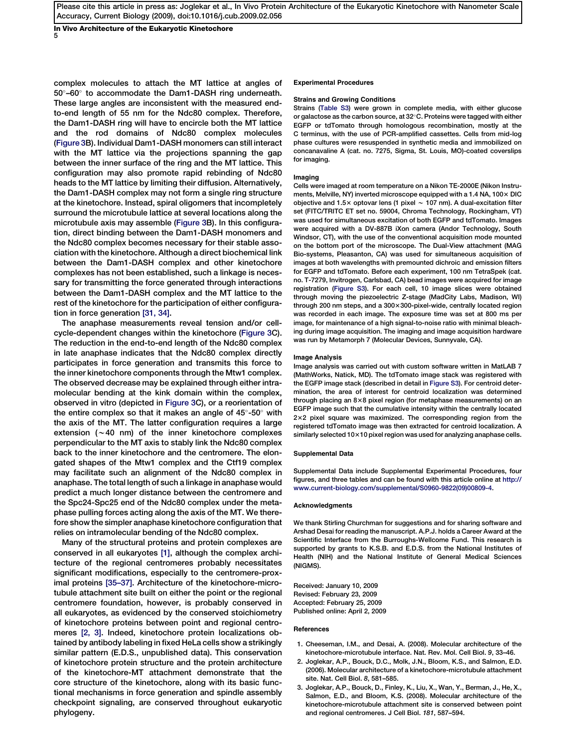<span id="page-4-0"></span>In Vivo Architecture of the Eukaryotic Kinetochore 5

complex molecules to attach the MT lattice at angles of 50°-60° to accommodate the Dam1-DASH ring underneath. These large angles are inconsistent with the measured endto-end length of 55 nm for the Ndc80 complex. Therefore, the Dam1-DASH ring will have to encircle both the MT lattice and the rod domains of Ndc80 complex molecules ([Figure 3B](#page-3-0)). Individual Dam1-DASH monomers can still interact with the MT lattice via the projections spanning the gap between the inner surface of the ring and the MT lattice. This configuration may also promote rapid rebinding of Ndc80 heads to the MT lattice by limiting their diffusion. Alternatively, the Dam1-DASH complex may not form a single ring structure at the kinetochore. Instead, spiral oligomers that incompletely surround the microtubule lattice at several locations along the microtubule axis may assemble ([Figure 3](#page-3-0)B). In this configuration, direct binding between the Dam1-DASH monomers and the Ndc80 complex becomes necessary for their stable association with the kinetochore. Although a direct biochemical link between the Dam1-DASH complex and other kinetochore complexes has not been established, such a linkage is necessary for transmitting the force generated through interactions between the Dam1-DASH complex and the MT lattice to the rest of the kinetochore for the participation of either configuration in force generation [\[31, 34\].](#page-5-0)

The anaphase measurements reveal tension and/or cellcycle-dependent changes within the kinetochore ([Figure 3C](#page-3-0)). The reduction in the end-to-end length of the Ndc80 complex in late anaphase indicates that the Ndc80 complex directly participates in force generation and transmits this force to the inner kinetochore components through the Mtw1 complex. The observed decrease may be explained through either intramolecular bending at the kink domain within the complex, observed in vitro (depicted in [Figure 3C](#page-3-0)), or a reorientation of the entire complex so that it makes an angle of 45 $^{\circ}$ -50 $^{\circ}$  with the axis of the MT. The latter configuration requires a large extension  $(\sim 40 \text{ nm})$  of the inner kinetochore complexes perpendicular to the MT axis to stably link the Ndc80 complex back to the inner kinetochore and the centromere. The elongated shapes of the Mtw1 complex and the Ctf19 complex may facilitate such an alignment of the Ndc80 complex in anaphase. The total length of such a linkage in anaphase would predict a much longer distance between the centromere and the Spc24-Spc25 end of the Ndc80 complex under the metaphase pulling forces acting along the axis of the MT. We therefore show the simpler anaphase kinetochore configuration that relies on intramolecular bending of the Ndc80 complex.

Many of the structural proteins and protein complexes are conserved in all eukaryotes [1], although the complex architecture of the regional centromeres probably necessitates significant modifications, especially to the centromere-proximal proteins [\[35–37\]](#page-5-0). Architecture of the kinetochore-microtubule attachment site built on either the point or the regional centromere foundation, however, is probably conserved in all eukaryotes, as evidenced by the conserved stoichiometry of kinetochore proteins between point and regional centromeres [2, 3]. Indeed, kinetochore protein localizations obtained by antibody labeling in fixed HeLa cells show a strikingly similar pattern (E.D.S., unpublished data). This conservation of kinetochore protein structure and the protein architecture of the kinetochore-MT attachment demonstrate that the core structure of the kinetochore, along with its basic functional mechanisms in force generation and spindle assembly checkpoint signaling, are conserved throughout eukaryotic phylogeny.

### Experimental Procedures

#### Strains and Growing Conditions

Strains (Table S3) were grown in complete media, with either glucose or galactose as the carbon source, at 32 $^{\circ}$ C. Proteins were tagged with either EGFP or tdTomato through homologous recombination, mostly at the C terminus, with the use of PCR-amplified cassettes. Cells from mid-log phase cultures were resuspended in synthetic media and immobilized on concanavaline A (cat. no. 7275, Sigma, St. Louis, MO)-coated coverslips for imaging.

### Imaging

Cells were imaged at room temperature on a Nikon TE-2000E (Nikon Instruments, Melville, NY) inverted microscope equipped with a 1.4 NA,  $100 \times$  DIC objective and 1.5 $\times$  optovar lens (1 pixel  $\sim$  107 nm). A dual-excitation filter set (FITC/TRITC ET set no. 59004, Chroma Technology, Rockingham, VT) was used for simultaneous excitation of both EGFP and tdTomato. Images were acquired with a DV-887B iXon camera (Andor Technology, South Windsor, CT), with the use of the conventional acquisition mode mounted on the bottom port of the microscope. The Dual-View attachment (MAG Bio-systems, Pleasanton, CA) was used for simultaneous acquisition of images at both wavelengths with premounted dichroic and emission filters for EGFP and tdTomato. Before each experiment, 100 nm TetraSpek (cat. no. T-7279, Invitrogen, Carlsbad, CA) bead images were acquired for image registration (Figure S3). For each cell, 10 image slices were obtained through moving the piezoelectric Z-stage (MadCity Labs, Madison, WI) through 200 nm steps, and a  $300\times300$ -pixel-wide, centrally located region was recorded in each image. The exposure time was set at 800 ms per image, for maintenance of a high signal-to-noise ratio with minimal bleaching during image acquisition. The imaging and image acquisition hardware was run by Metamorph 7 (Molecular Devices, Sunnyvale, CA).

#### Image Analysis

Image analysis was carried out with custom software written in MatLAB 7 (MathWorks, Natick, MD). The tdTomato image stack was registered with the EGFP image stack (described in detail in Figure S3). For centroid determination, the area of interest for centroid localization was determined through placing an  $8\times8$  pixel region (for metaphase measurements) on an EGFP image such that the cumulative intensity within the centrally located 2×2 pixel square was maximized. The corresponding region from the registered tdTomato image was then extracted for centroid localization. A similarly selected  $10\times10$  pixel region was used for analyzing anaphase cells.

#### Supplemental Data

Supplemental Data include Supplemental Experimental Procedures, four figures, and three tables and can be found with this article online at [http://](http://www.current-biology.com/supplemental/S0960-9822(09)00809-4) [www.current-biology.com/supplemental/S0960-9822\(09\)00809-4](http://www.current-biology.com/supplemental/S0960-9822(09)00809-4).

#### Acknowledgments

We thank Stirling Churchman for suggestions and for sharing software and Arshad Desai for reading the manuscript. A.P.J. holds a Career Award at the Scientific Interface from the Burroughs-Wellcome Fund. This research is supported by grants to K.S.B. and E.D.S. from the National Institutes of Health (NIH) and the National Institute of General Medical Sciences (NIGMS).

Received: January 10, 2009 Revised: February 23, 2009 Accepted: February 25, 2009 Published online: April 2, 2009

#### References

- 1. Cheeseman, I.M., and Desai, A. (2008). Molecular architecture of the kinetochore-microtubule interface. Nat. Rev. Mol. Cell Biol. 9, 33–46.
- 2. Joglekar, A.P., Bouck, D.C., Molk, J.N., Bloom, K.S., and Salmon, E.D. (2006). Molecular architecture of a kinetochore-microtubule attachment site. Nat. Cell Biol. 8, 581–585.
- 3. Joglekar, A.P., Bouck, D., Finley, K., Liu, X., Wan, Y., Berman, J., He, X., Salmon, E.D., and Bloom, K.S. (2008). Molecular architecture of the kinetochore-microtubule attachment site is conserved between point and regional centromeres. J Cell Biol. 181, 587–594.